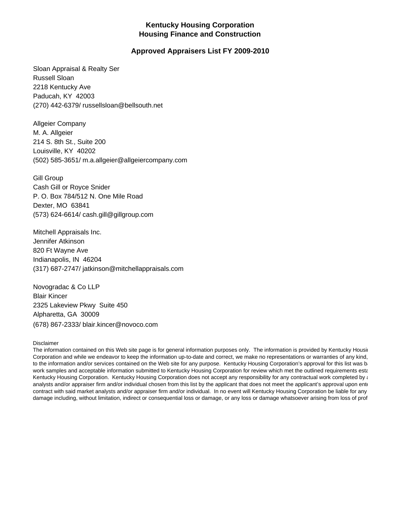## **Kentucky Housing Corporation Housing Finance and Construction**

## **Approved Appraisers List FY 2009-2010**

Sloan Appraisal & Realty Ser Russell Sloan 2218 Kentucky Ave Paducah, KY 42003 (270) 442-6379/ russellsloan@bellsouth.net

Allgeier Company M. A. Allgeier 214 S. 8th St., Suite 200 Louisville, KY 40202 (502) 585-3651/ m.a.allgeier@allgeiercompany.com

Gill Group Cash Gill or Royce Snider P. O. Box 784/512 N. One Mile Road Dexter, MO 63841 (573) 624-6614/ cash.gill@gillgroup.com

Mitchell Appraisals Inc. Jennifer Atkinson 820 Ft Wayne Ave Indianapolis, IN 46204 (317) 687-2747/ jatkinson@mitchellappraisals.com

Novogradac & Co LLP Blair Kincer 2325 Lakeview Pkwy Suite 450 Alpharetta, GA 30009 (678) 867-2333/ blair.kincer@novoco.com

## Disclaimer

The information contained on this Web site page is for general information purposes only. The information is provided by Kentucky Housin Corporation and while we endeavor to keep the information up-to-date and correct, we make no representations or warranties of any kind, to the information and/or services contained on the Web site for any purpose. Kentucky Housing Corporation's approval for this list was ba work samples and acceptable information submitted to Kentucky Housing Corporation for review which met the outlined requirements esta Kentucky Housing Corporation. Kentucky Housing Corporation does not accept any responsibility for any contractual work completed by and the state of the state of the state of the state and the state of the state of the sta analysts and/or appraiser firm and/or individual chosen from this list by the applicant that does not meet the applicant's approval upon ente contract with said market analysts and/or appraiser firm and/or individual. In no event will Kentucky Housing Corporation be liable for any damage including, without limitation, indirect or consequential loss or damage, or any loss or damage whatsoever arising from loss of prof